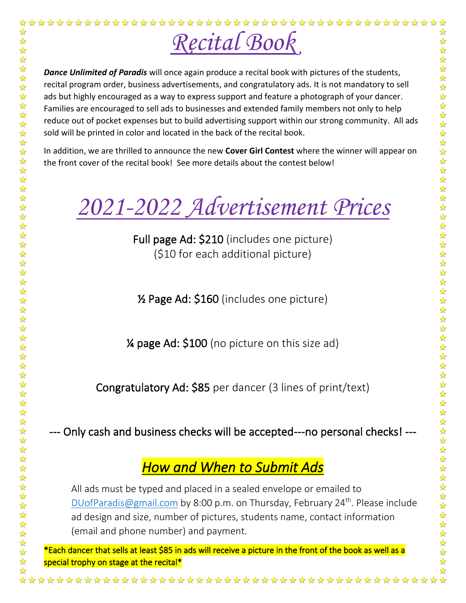

*Dance Unlimited of Paradis* will once again produce a recital book with pictures of the students, recital program order, business advertisements, and congratulatory ads. It is not mandatory to sell ads but highly encouraged as a way to express support and feature a photograph of your dancer. Families are encouraged to sell ads to businesses and extended family members not only to help reduce out of pocket expenses but to build advertising support within our strong community. All ads sold will be printed in color and located in the back of the recital book.

In addition, we are thrilled to announce the new **Cover Girl Contest** where the winner will appear on the front cover of the recital book! See more details about the contest below!

*2021-2022 Advertisement Prices* 

Full page Ad: \$210 (includes one picture) (\$10 for each additional picture)

½ Page Ad: \$160 (includes one picture)

¼ page Ad: \$100 (no picture on this size ad)

Congratulatory Ad: \$85 per dancer (3 lines of print/text)

--- Only cash and business checks will be accepted---no personal checks! ---

# *How and When to Submit Ads*

All ads must be typed and placed in a sealed envelope or emailed to [DUofParadis@gmail.com](mailto:DUofParadis@gmail.com) by 8:00 p.m. on Thursday, February 24<sup>th</sup>. Please include ad design and size, number of pictures, students name, contact information (email and phone number) and payment.

\*Each dancer that sells at least \$85 in ads will receive a picture in the front of the book as well as a special trophy on stage at the recital\*

\*\*\*\*\*\*\*\*\*\*\*\*\*\*\*\*\*\*\*\*\*\*\*\*\*\*\*\*\*\*\*\*\*\*\*\*\*\*

 $\frac{1}{2}$ ☆

☆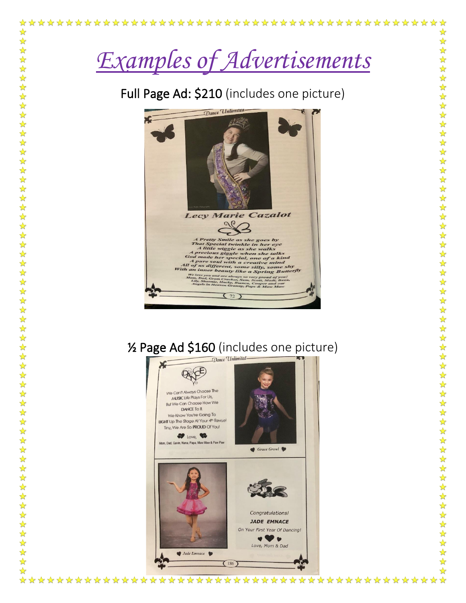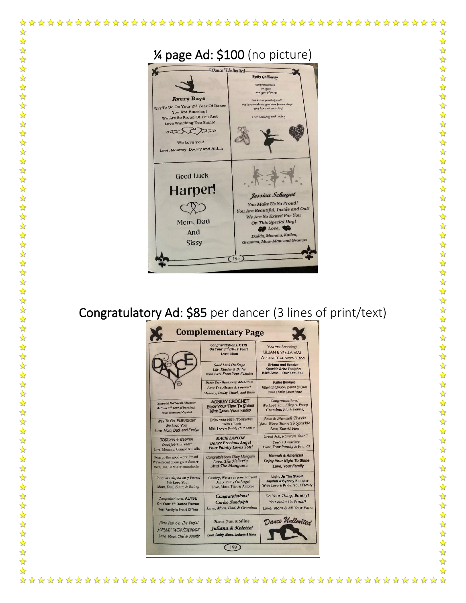

☆

☆

 $\frac{1}{2}$ 

**☆☆☆☆☆☆☆☆☆☆☆☆☆☆☆☆☆☆☆☆☆☆☆☆☆☆** 

☆☆☆☆☆☆☆☆☆☆☆☆☆☆☆☆☆☆☆☆☆☆☆☆☆☆☆☆☆

 $\frac{1}{\sqrt{2}}$ 

 $\frac{1}{2}$ 

## Congratulatory Ad: \$85 per dancer (3 lines of print/text)

|                                                                       | <b>Congratulations, MYRI</b><br>On Your 3rd DU-IT Year!<br>Love, Mom                                 | You Are Amazing!<br>LILLIAN & STELLA VIAL<br>We Love You, Mom & Dad                            |
|-----------------------------------------------------------------------|------------------------------------------------------------------------------------------------------|------------------------------------------------------------------------------------------------|
|                                                                       | <b>Good Luck On Stage</b><br>Lily, Kinsley & Bailey<br><b>With Love From Your Families</b>           | <b>Briann and Bentlee</b><br><b>Sparkle Brite Tonight!</b><br><b>With Love ~ Your Families</b> |
|                                                                       | <b>Dance Your Heart Away, BRIAHNA!</b><br>Love You Always & Forever!<br>Mommy, Daddy Chuck, and Beau | Katiea Bookard<br>Ulhen In Doubt, Dance It Out!<br><b>Your Family Loves You!</b>               |
| Congrats! Ma'Layah Edwards                                            | <b>AUBREY CROCHET</b>                                                                                | Congratulations!                                                                               |
| On Your 7 <sup>th</sup> Year of Dancing!                              | Enjoy Your Time To Shine!                                                                            | We Love You, Kiley A. Posey                                                                    |
| Love, Mom and Crystal                                                 | With Love, Your Family                                                                               | Grandma Ida & Family                                                                           |
| Way To Go, EMERSON!                                                   | Enjoy Your Night To Sparkle!                                                                         | Ava & Nevaeh Travis                                                                            |
| We Love You.                                                          | Faith + Leah                                                                                         | <b>Vou Were Born To Sparkle</b>                                                                |
| Love: Mom, Dad, and Evelyn                                            | With Love + Pride, Your Family                                                                       | Love, Your #1 Fans                                                                             |
| JOSLYN + Isabella                                                     | <b>MACIE LANCON</b>                                                                                  | Great Job, Kamryn "Star"!                                                                      |
| Great Job This Year!                                                  | <b>Dance Precious Angel</b>                                                                          | You're Amazing!                                                                                |
| Love, Mommy, Connor & Colin                                           | <b>Your Family Loves You!</b>                                                                        | Love, Your Family & Friends                                                                    |
| Keep up the good work, Imani                                          | <b>Congratulations Riley Mangum</b>                                                                  | <b>Hannah &amp; Americus</b>                                                                   |
| We're proud of our great dancer!                                      | Love, The Hebert's                                                                                   | <b>Enjoy Your Night To Shine</b>                                                               |
| Mom, Dad, DJ & CC Homeschooler                                        | And The Mangum's                                                                                     | Love, Your Family                                                                              |
| Congrats Alyssa on 7 Years!                                           | Cambry, We are so proud of you!                                                                      | <b>Light Up The Stage!</b>                                                                     |
| We Love You.                                                          | Dance Pretty On Stage!                                                                               | <b>Jayden &amp; Sydney Estilette</b>                                                           |
| Mom, Dad, Evan, & Bailey                                              | Love, Mom, Tito, & Antonio                                                                           | With Love & Pride, Your Family                                                                 |
| Congratulations, ALYSE                                                | <b>Congratulations!</b>                                                                              | Do Your Thing, Emery!                                                                          |
| On Your 7th Dance Revue                                               | <b>Carlee Sandolph</b>                                                                               | You Make Us Proud!                                                                             |
| Your Family Is Proud Of You                                           | Love, Mom, Dad, & Grandma                                                                            | Love, Mom & All Your Fans                                                                      |
| Hove Fun On The Stodel<br>HALLE" WESTERMAN<br>Love. Mom. Ded & Femily | Have Fun & Shine<br><b>Juliana &amp; Kolette!</b><br>Love, Daddy, Mama, Jackson & Nana               | Dance Unlimited                                                                                |

☆ ☆  $\frac{1}{\sqrt{2}}$